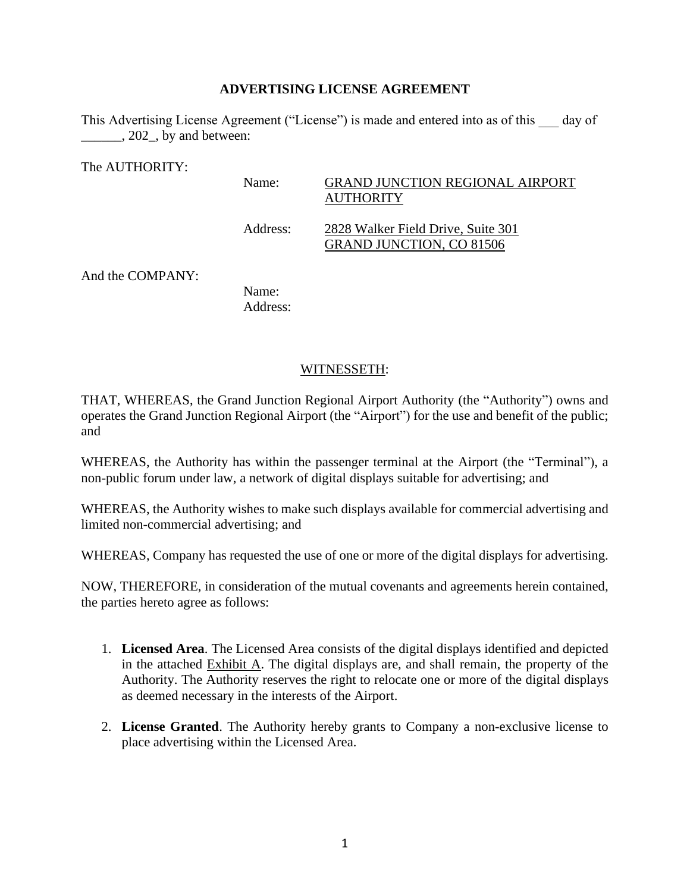#### **ADVERTISING LICENSE AGREEMENT**

This Advertising License Agreement ("License") is made and entered into as of this day of \_\_\_\_\_\_, 202\_, by and between:

The AUTHORITY:

### Name: GRAND JUNCTION REGIONAL AIRPORT **AUTHORITY**

Address: 2828 Walker Field Drive, Suite 301 GRAND JUNCTION, CO 81506

And the COMPANY:

Name: Address:

### WITNESSETH:

THAT, WHEREAS, the Grand Junction Regional Airport Authority (the "Authority") owns and operates the Grand Junction Regional Airport (the "Airport") for the use and benefit of the public; and

WHEREAS, the Authority has within the passenger terminal at the Airport (the "Terminal"), a non-public forum under law, a network of digital displays suitable for advertising; and

WHEREAS, the Authority wishes to make such displays available for commercial advertising and limited non-commercial advertising; and

WHEREAS, Company has requested the use of one or more of the digital displays for advertising.

NOW, THEREFORE, in consideration of the mutual covenants and agreements herein contained, the parties hereto agree as follows:

- 1. **Licensed Area**. The Licensed Area consists of the digital displays identified and depicted in the attached Exhibit A. The digital displays are, and shall remain, the property of the Authority. The Authority reserves the right to relocate one or more of the digital displays as deemed necessary in the interests of the Airport.
- 2. **License Granted**. The Authority hereby grants to Company a non-exclusive license to place advertising within the Licensed Area.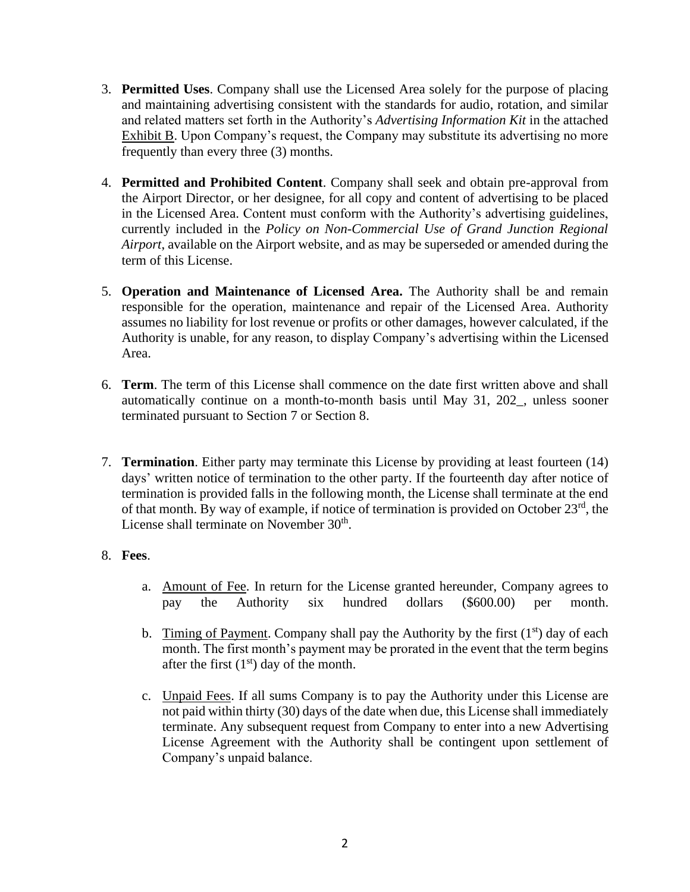- 3. **Permitted Uses**. Company shall use the Licensed Area solely for the purpose of placing and maintaining advertising consistent with the standards for audio, rotation, and similar and related matters set forth in the Authority's *Advertising Information Kit* in the attached Exhibit B. Upon Company's request, the Company may substitute its advertising no more frequently than every three (3) months.
- 4. **Permitted and Prohibited Content**. Company shall seek and obtain pre-approval from the Airport Director, or her designee, for all copy and content of advertising to be placed in the Licensed Area. Content must conform with the Authority's advertising guidelines, currently included in the *Policy on Non-Commercial Use of Grand Junction Regional Airport*, available on the Airport website, and as may be superseded or amended during the term of this License.
- 5. **Operation and Maintenance of Licensed Area.** The Authority shall be and remain responsible for the operation, maintenance and repair of the Licensed Area. Authority assumes no liability for lost revenue or profits or other damages, however calculated, if the Authority is unable, for any reason, to display Company's advertising within the Licensed Area.
- 6. **Term**. The term of this License shall commence on the date first written above and shall automatically continue on a month-to-month basis until May 31, 202\_, unless sooner terminated pursuant to Section 7 or Section 8.
- 7. **Termination**. Either party may terminate this License by providing at least fourteen (14) days' written notice of termination to the other party. If the fourteenth day after notice of termination is provided falls in the following month, the License shall terminate at the end of that month. By way of example, if notice of termination is provided on October 23rd, the License shall terminate on November 30<sup>th</sup>.

# 8. **Fees**.

- a. Amount of Fee. In return for the License granted hereunder, Company agrees to pay the Authority six hundred dollars (\$600.00) per month.
- b. Timing of Payment. Company shall pay the Authority by the first  $(1<sup>st</sup>)$  day of each month. The first month's payment may be prorated in the event that the term begins after the first  $(1<sup>st</sup>)$  day of the month.
- c. Unpaid Fees. If all sums Company is to pay the Authority under this License are not paid within thirty (30) days of the date when due, this License shall immediately terminate. Any subsequent request from Company to enter into a new Advertising License Agreement with the Authority shall be contingent upon settlement of Company's unpaid balance.